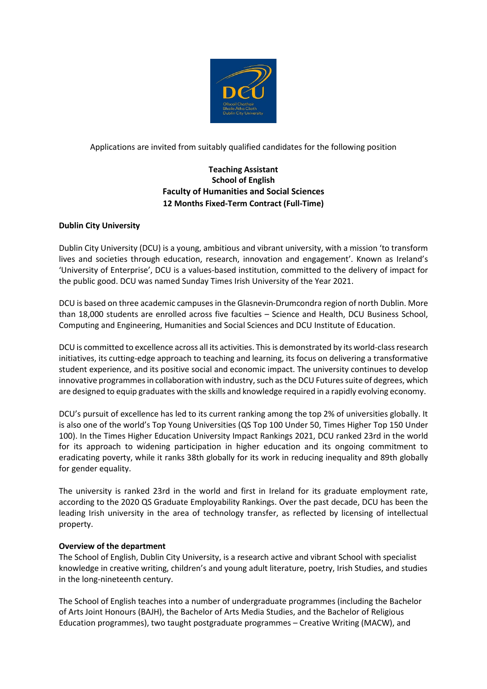

Applications are invited from suitably qualified candidates for the following position

# **Teaching Assistant School of English Faculty of Humanities and Social Sciences 12 Months Fixed-Term Contract (Full-Time)**

# **Dublin City University**

Dublin City University (DCU) is a young, ambitious and vibrant university, with a mission 'to transform lives and societies through education, research, innovation and engagement'. Known as Ireland's 'University of Enterprise', DCU is a values-based institution, committed to the delivery of impact for the public good. DCU was named Sunday Times Irish University of the Year 2021.

DCU is based on three academic campuses in the Glasnevin-Drumcondra region of north Dublin. More than 18,000 students are enrolled across five faculties – Science and Health, DCU Business School, Computing and Engineering, Humanities and Social Sciences and DCU Institute of Education.

DCU is committed to excellence across all its activities. This is demonstrated by its world-class research initiatives, its cutting-edge approach to teaching and learning, its focus on delivering a transformative student experience, and its positive social and economic impact. The university continues to develop innovative programmes in collaboration with industry, such as the DCU Futures suite of degrees, which are designed to equip graduates with the skills and knowledge required in a rapidly evolving economy.

DCU's pursuit of excellence has led to its current ranking among the top 2% of universities globally. It is also one of the world's Top Young Universities (QS Top 100 Under 50, Times Higher Top 150 Under 100). In the Times Higher Education University Impact Rankings 2021, DCU ranked 23rd in the world for its approach to widening participation in higher education and its ongoing commitment to eradicating poverty, while it ranks 38th globally for its work in reducing inequality and 89th globally for gender equality.

The university is ranked 23rd in the world and first in Ireland for its graduate employment rate, according to the 2020 QS Graduate Employability Rankings. Over the past decade, DCU has been the leading Irish university in the area of technology transfer, as reflected by licensing of intellectual property.

# **Overview of the department**

The School of English, Dublin City University, is a research active and vibrant School with specialist knowledge in creative writing, children's and young adult literature, poetry, Irish Studies, and studies in the long-nineteenth century.

The School of English teaches into a number of undergraduate programmes (including the Bachelor of Arts Joint Honours (BAJH), the Bachelor of Arts Media Studies, and the Bachelor of Religious Education programmes), two taught postgraduate programmes – Creative Writing (MACW), and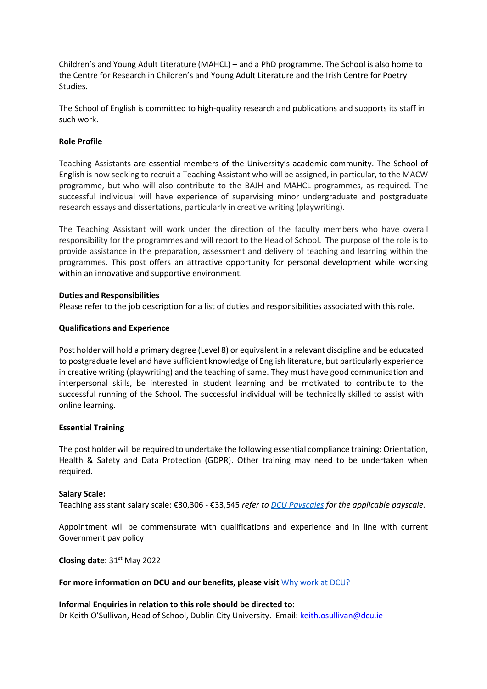Children's and Young Adult Literature (MAHCL) – and a PhD programme. The School is also home to the Centre for Research in Children's and Young Adult Literature and the Irish Centre for Poetry Studies.

The School of English is committed to high-quality research and publications and supports its staff in such work.

## **Role Profile**

Teaching Assistants are essential members of the University's academic community. The School of English is now seeking to recruit a Teaching Assistant who will be assigned, in particular, to the MACW programme, but who will also contribute to the BAJH and MAHCL programmes, as required. The successful individual will have experience of supervising minor undergraduate and postgraduate research essays and dissertations, particularly in creative writing (playwriting).

The Teaching Assistant will work under the direction of the faculty members who have overall responsibility for the programmes and will report to the Head of School. The purpose of the role is to provide assistance in the preparation, assessment and delivery of teaching and learning within the programmes. This post offers an attractive opportunity for personal development while working within an innovative and supportive environment.

### **Duties and Responsibilities**

Please refer to the job description for a list of duties and responsibilities associated with this role.

### **Qualifications and Experience**

Post holder will hold a primary degree (Level 8) or equivalent in a relevant discipline and be educated to postgraduate level and have sufficient knowledge of English literature, but particularly experience in creative writing (playwriting) and the teaching of same. They must have good communication and interpersonal skills, be interested in student learning and be motivated to contribute to the successful running of the School. The successful individual will be technically skilled to assist with online learning.

#### **Essential Training**

The post holder will be required to undertake the following essential compliance training: Orientation, Health & Safety and Data Protection (GDPR). Other training may need to be undertaken when required.

#### **Salary Scale:**

Teaching assistant salary scale: €30,306 - €33,545 *refer to [DCU Payscales](https://www.dcu.ie/finance/payroll/payscales.shtml) for the applicable payscale.*

Appointment will be commensurate with qualifications and experience and in line with current Government pay policy

**Closing date:** 31st May 2022

#### **For more information on DCU and our benefits, please visit** [Why work at DCU?](https://www.dcu.ie/hr/why-work-dcu)

**Informal Enquiries in relation to this role should be directed to:** Dr Keith O'Sullivan, Head of School, Dublin City University. Email[: keith.osullivan@dcu.ie](mailto:keith.osullivan@dcu.ie)